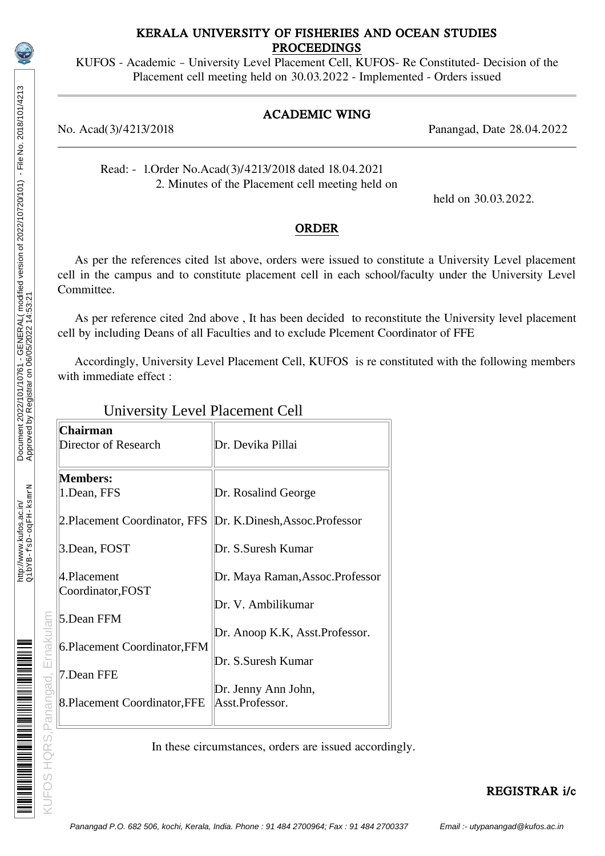# http://www.kufos.ac.in/<br>Qi.bYB-fsD-oqFH-ksmrN http://www.kufos.ac.in/

KUFOS HQRS.Panangad, Ernakulam <u>munisipaliti m</u>

## KERALA UNIVERSITY OF FISHERIES AND OCEAN STUDIES PROCEEDINGS

KUFOS - Academic – University Level Placement Cell, KUFOS- Re Constituted- Decision of the Placement cell meeting held on 30.03.2022 - Implemented - Orders issued

# ACADEMIC WING

No. Acad(3)/4213/2018 Panangad, Date 28.04.2022

Read: - 1.Order No.Acad(3)/4213/2018 dated 18.04.2021 2. Minutes of the Placement cell meeting held on

held on 30.03.2022.

#### ORDER

As per the references cited 1st above, orders were issued to constitute a University Level placement cell in the campus and to constitute placement cell in each school/faculty under the University Level Committee.

 As per reference cited 2nd above , It has been decided to reconstitute the University level placement cell by including Deans of all Faculties and to exclude Plcement Coordinator of FFE

 Accordingly, University Level Placement Cell, KUFOS is re constituted with the following members with immediate effect :

# University Level Placement Cell

| OS HQRS, Panangad, Ernakulam | Chairman<br>Director of Research                    | Dr. Devika Pillai                                    |
|------------------------------|-----------------------------------------------------|------------------------------------------------------|
|                              | <b>Members:</b><br>1.Dean, FFS                      | Dr. Rosalind George                                  |
|                              | 2. Placement Coordinator, FFS                       | Dr. K.Dinesh, Assoc.Professor                        |
|                              | 3. Dean, FOST                                       | Dr. S.Suresh Kumar                                   |
|                              | 4.Placement<br>Coordinator, FOST                    | Dr. Maya Raman, Assoc. Professor                     |
|                              | 5.Dean FFM                                          | Dr. V. Ambilikumar                                   |
|                              | 6. Placement Coordinator, FFM                       | Dr. Anoop K.K, Asst.Professor.<br>Dr. S.Suresh Kumar |
|                              | 7.Dean FFE                                          |                                                      |
|                              | 8. Placement Coordinator, FFE                       | Dr. Jenny Ann John,<br>Asst.Professor.               |
|                              | In these circumstances, orders are issued according |                                                      |
|                              |                                                     |                                                      |

In these circumstances, orders are issued accordingly.

REGISTRAR i/c